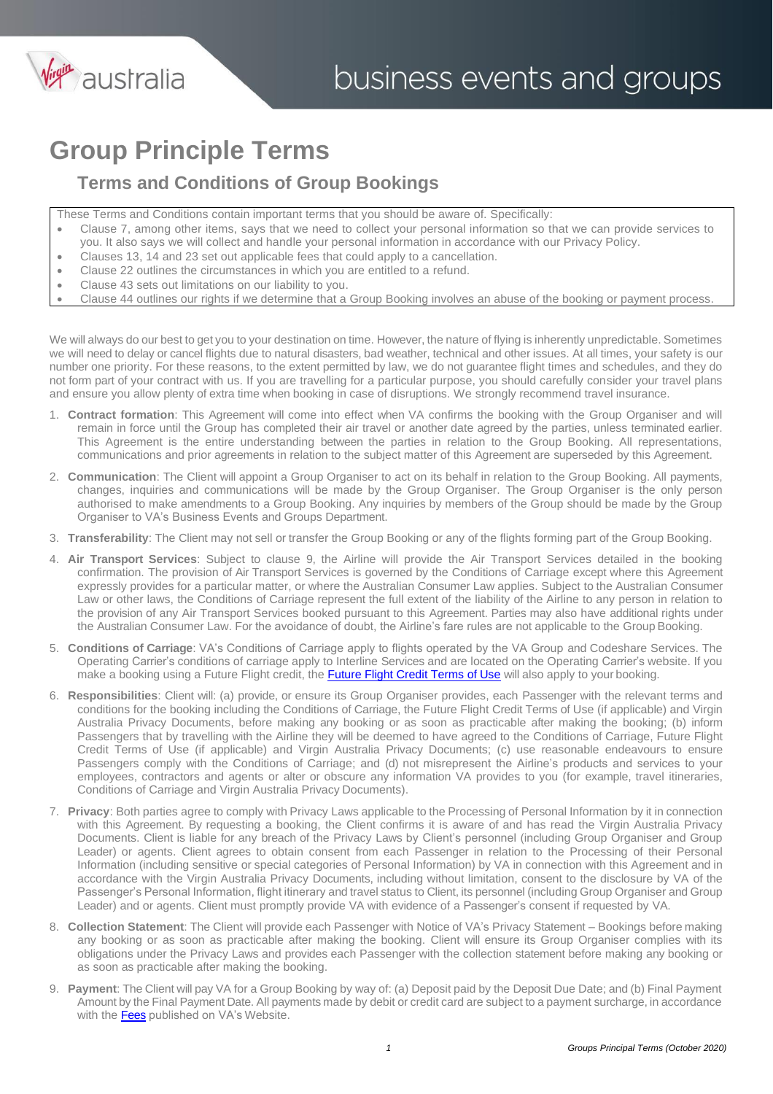

### **Group Principle Terms**

#### **Terms and Conditions of Group Bookings**

- These Terms and Conditions contain important terms that you should be aware of. Specifically:
- Clause 7, among other items, says that we need to collect your personal information so that we can provide services to you. It also says we will collect and handle your personal information in accordance with our Privacy Policy.
- Clauses 13, 14 and 23 set out applicable fees that could apply to a cancellation.
- Clause 22 outlines the circumstances in which you are entitled to a refund.
- Clause 43 sets out limitations on our liability to you.
- Clause 44 outlines our rights if we determine that a Group Booking involves an abuse of the booking or payment process.

We will always do our best to get you to your destination on time. However, the nature of flying is inherently unpredictable. Sometimes we will need to delay or cancel flights due to natural disasters, bad weather, technical and other issues. At all times, your safety is our number one priority. For these reasons, to the extent permitted by law, we do not guarantee flight times and schedules, and they do not form part of your contract with us. If you are travelling for a particular purpose, you should carefully consider your travel plans and ensure you allow plenty of extra time when booking in case of disruptions. We strongly recommend travel insurance.

- 1. **Contract formation**: This Agreement will come into effect when VA confirms the booking with the Group Organiser and will remain in force until the Group has completed their air travel or another date agreed by the parties, unless terminated earlier. This Agreement is the entire understanding between the parties in relation to the Group Booking. All representations, communications and prior agreements in relation to the subject matter of this Agreement are superseded by this Agreement.
- 2. **Communication**: The Client will appoint a Group Organiser to act on its behalf in relation to the Group Booking. All payments, changes, inquiries and communications will be made by the Group Organiser. The Group Organiser is the only person authorised to make amendments to a Group Booking. Any inquiries by members of the Group should be made by the Group Organiser to VA's Business Events and Groups Department.
- 3. **Transferability**: The Client may not sell or transfer the Group Booking or any of the flights forming part of the Group Booking.
- 4. **Air Transport Services**: Subject to clause 9, the Airline will provide the Air Transport Services detailed in the booking confirmation. The provision of Air Transport Services is governed by the Conditions of Carriage except where this Agreement expressly provides for a particular matter, or where the Australian Consumer Law applies. Subject to the Australian Consumer Law or other laws, the Conditions of Carriage represent the full extent of the liability of the Airline to any person in relation to the provision of any Air Transport Services booked pursuant to this Agreement. Parties may also have additional rights under the Australian Consumer Law. For the avoidance of doubt, the Airline's fare rules are not applicable to the Group Booking.
- 5. **Conditions of Carriage**: VA's Conditions of Carriage apply to flights operated by the VA Group and Codeshare Services. The Operating Carrier's conditions of carriage apply to Interline Services and are located on the Operating Carrier's website. If you make a booking using a Future Flight credit, the **[Future Flight Credit Terms of Use](https://www.virginaustralia.com/au/en/bookings/agents-corporate-bookings/agency-hub/#future-flight-credits)** will also apply to your booking.
- 6. **Responsibilities**: Client will: (a) provide, or ensure its Group Organiser provides, each Passenger with the relevant terms and conditions for the booking including the Conditions of Carriage, the Future Flight Credit Terms of Use (if applicable) and Virgin Australia Privacy Documents, before making any booking or as soon as practicable after making the booking; (b) inform Passengers that by travelling with the Airline they will be deemed to have agreed to the Conditions of Carriage, Future Flight Credit Terms of Use (if applicable) and Virgin Australia Privacy Documents; (c) use reasonable endeavours to ensure Passengers comply with the Conditions of Carriage; and (d) not misrepresent the Airline's products and services to your employees, contractors and agents or alter or obscure any information VA provides to you (for example, travel itineraries, Conditions of Carriage and Virgin Australia Privacy Documents).
- 7. **Privacy**: Both parties agree to comply with Privacy Laws applicable to the Processing of Personal Information by it in connection with this Agreement. By requesting a booking, the Client confirms it is aware of and has read the Virgin Australia Privacy Documents. Client is liable for any breach of the Privacy Laws by Client's personnel (including Group Organiser and Group Leader) or agents. Client agrees to obtain consent from each Passenger in relation to the Processing of their Personal Information (including sensitive or special categories of Personal Information) by VA in connection with this Agreement and in accordance with the Virgin Australia Privacy Documents, including without limitation, consent to the disclosure by VA of the Passenger's Personal Information, flight itinerary and travel status to Client, its personnel (including Group Organiser and Group Leader) and or agents. Client must promptly provide VA with evidence of a Passenger's consent if requested by VA.
- 8. **Collection Statement**: The Client will provide each Passenger with Notice of VA's Privacy Statement Bookings before making any booking or as soon as practicable after making the booking. Client will ensure its Group Organiser complies with its obligations under the Privacy Laws and provides each Passenger with the collection statement before making any booking or as soon as practicable after making the booking.
- 9. **Payment**: The Client will pay VA for a Group Booking by way of: (a) Deposit paid by the Deposit Due Date; and (b) Final Payment Amount by the Final Payment Date. All payments made by debit or credit card are subject to a payment surcharge, in accordance with the **[Fees](https://www.virginaustralia.com/au/en/plan/fare-types/)** published on VA's Website.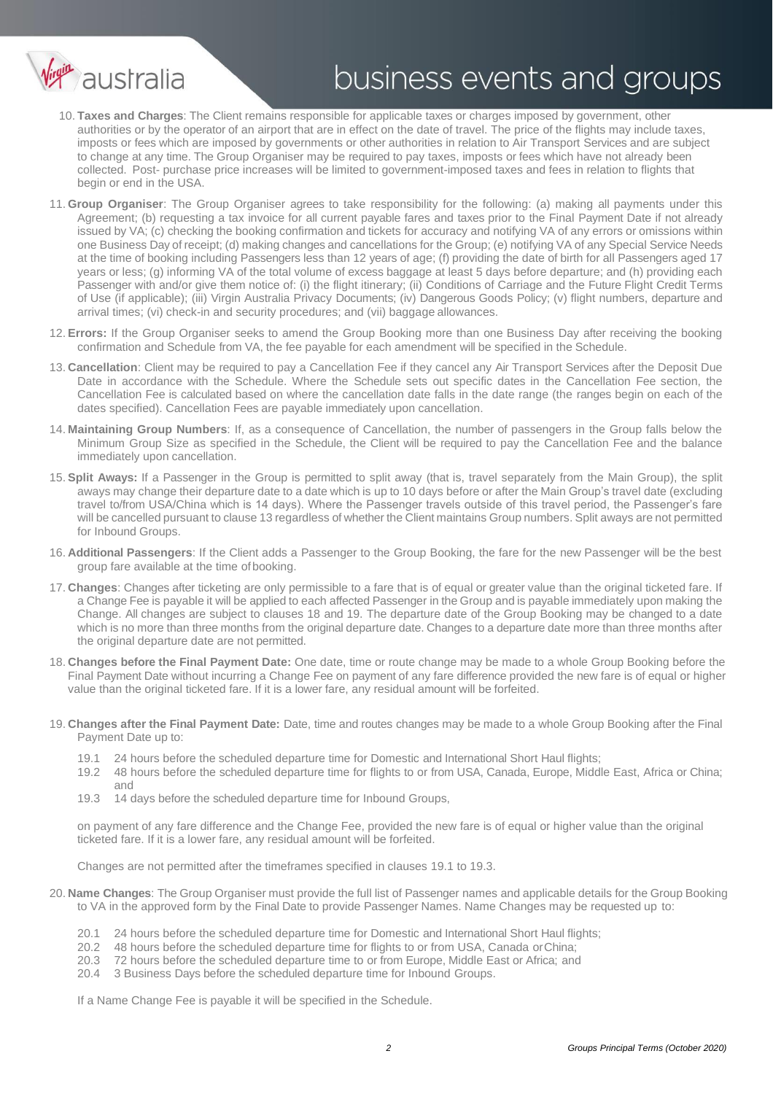

- 10. **Taxes and Charges**: The Client remains responsible for applicable taxes or charges imposed by government, other authorities or by the operator of an airport that are in effect on the date of travel. The price of the flights may include taxes, imposts or fees which are imposed by governments or other authorities in relation to Air Transport Services and are subject to change at any time. The Group Organiser may be required to pay taxes, imposts or fees which have not already been collected. Post- purchase price increases will be limited to government-imposed taxes and fees in relation to flights that begin or end in the USA.
- 11. **Group Organiser**: The Group Organiser agrees to take responsibility for the following: (a) making all payments under this Agreement; (b) requesting a tax invoice for all current payable fares and taxes prior to the Final Payment Date if not already issued by VA; (c) checking the booking confirmation and tickets for accuracy and notifying VA of any errors or omissions within one Business Day of receipt; (d) making changes and cancellations for the Group; (e) notifying VA of any Special Service Needs at the time of booking including Passengers less than 12 years of age; (f) providing the date of birth for all Passengers aged 17 years or less; (g) informing VA of the total volume of excess baggage at least 5 days before departure; and (h) providing each Passenger with and/or give them notice of: (i) the flight itinerary; (ii) Conditions of Carriage and the Future Flight Credit Terms of Use (if applicable); (iii) Virgin Australia Privacy Documents; (iv) Dangerous Goods Policy; (v) flight numbers, departure and arrival times; (vi) check-in and security procedures; and (vii) baggage allowances.
- 12. **Errors:** If the Group Organiser seeks to amend the Group Booking more than one Business Day after receiving the booking confirmation and Schedule from VA, the fee payable for each amendment will be specified in the Schedule.
- 13. **Cancellation**: Client may be required to pay a Cancellation Fee if they cancel any Air Transport Services after the Deposit Due Date in accordance with the Schedule. Where the Schedule sets out specific dates in the Cancellation Fee section, the Cancellation Fee is calculated based on where the cancellation date falls in the date range (the ranges begin on each of the dates specified). Cancellation Fees are payable immediately upon cancellation.
- 14. **Maintaining Group Numbers**: If, as a consequence of Cancellation, the number of passengers in the Group falls below the Minimum Group Size as specified in the Schedule, the Client will be required to pay the Cancellation Fee and the balance immediately upon cancellation.
- 15. **Split Aways:** If a Passenger in the Group is permitted to split away (that is, travel separately from the Main Group), the split aways may change their departure date to a date which is up to 10 days before or after the Main Group's travel date (excluding travel to/from USA/China which is 14 days). Where the Passenger travels outside of this travel period, the Passenger's fare will be cancelled pursuant to clause 13 regardless of whether the Client maintains Group numbers. Split aways are not permitted for Inbound Groups.
- 16. **Additional Passengers**: If the Client adds a Passenger to the Group Booking, the fare for the new Passenger will be the best group fare available at the time of booking.
- 17. **Changes**: Changes after ticketing are only permissible to a fare that is of equal or greater value than the original ticketed fare. If a Change Fee is payable it will be applied to each affected Passenger in the Group and is payable immediately upon making the Change. All changes are subject to clauses 18 and 19. The departure date of the Group Booking may be changed to a date which is no more than three months from the original departure date. Changes to a departure date more than three months after the original departure date are not permitted.
- 18. **Changes before the Final Payment Date:** One date, time or route change may be made to a whole Group Booking before the Final Payment Date without incurring a Change Fee on payment of any fare difference provided the new fare is of equal or higher value than the original ticketed fare. If it is a lower fare, any residual amount will be forfeited.
- <span id="page-1-0"></span>19. **Changes after the Final Payment Date:** Date, time and routes changes may be made to a whole Group Booking after the Final Payment Date up to:
	- 19.1 24 hours before the scheduled departure time for Domestic and International Short Haul flights;
	- 19.2 48 hours before the scheduled departure time for flights to or from USA, Canada, Europe, Middle East, Africa or China; and
	- 19.3 14 days before the scheduled departure time for Inbound Groups,

<span id="page-1-1"></span>on payment of any fare difference and the Change Fee, provided the new fare is of equal or higher value than the original ticketed fare. If it is a lower fare, any residual amount will be forfeited.

Changes are not permitted after the timeframes specified in clauses [19.1 t](#page-1-0)[o 19.3.](#page-1-1)

- 20. **Name Changes**: The Group Organiser must provide the full list of Passenger names and applicable details for the Group Booking to VA in the approved form by the Final Date to provide Passenger Names. Name Changes may be requested up to:
	- 20.1 24 hours before the scheduled departure time for Domestic and International Short Haul flights;<br>20.2 48 hours before the scheduled departure time for flights to or from USA. Canada or China:
	- 48 hours before the scheduled departure time for flights to or from USA, Canada orChina;
	- 20.3 72 hours before the scheduled departure time to or from Europe, Middle East or Africa; and
	- 20.4 3 Business Days before the scheduled departure time for Inbound Groups.

If a Name Change Fee is payable it will be specified in the Schedule.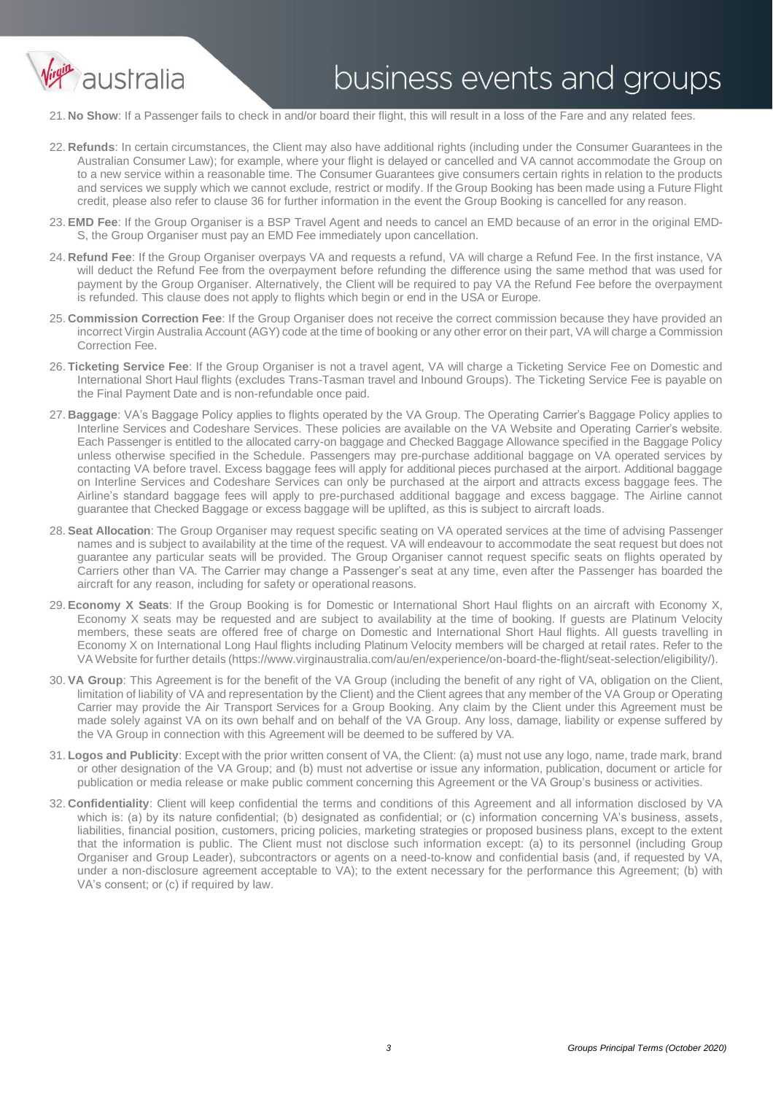

21. **No Show**: If a Passenger fails to check in and/or board their flight, this will result in a loss of the Fare and any related fees.

- 22. **Refunds**: In certain circumstances, the Client may also have additional rights (including under the Consumer Guarantees in the Australian Consumer Law); for example, where your flight is delayed or cancelled and VA cannot accommodate the Group on to a new service within a reasonable time. The Consumer Guarantees give consumers certain rights in relation to the products and services we supply which we cannot exclude, restrict or modify. If the Group Booking has been made using a Future Flight credit, please also refer to clause 36 for further information in the event the Group Booking is cancelled for any reason.
- 23. **EMD Fee**: If the Group Organiser is a BSP Travel Agent and needs to cancel an EMD because of an error in the original EMD-S, the Group Organiser must pay an EMD Fee immediately upon cancellation.
- 24. **Refund Fee**: If the Group Organiser overpays VA and requests a refund, VA will charge a Refund Fee. In the first instance, VA will deduct the Refund Fee from the overpayment before refunding the difference using the same method that was used for payment by the Group Organiser. Alternatively, the Client will be required to pay VA the Refund Fee before the overpayment is refunded. This clause does not apply to flights which begin or end in the USA or Europe.
- 25. **Commission Correction Fee**: If the Group Organiser does not receive the correct commission because they have provided an incorrect Virgin Australia Account (AGY) code at the time of booking or any other error on their part, VA will charge a Commission Correction Fee.
- 26. **Ticketing Service Fee**: If the Group Organiser is not a travel agent, VA will charge a Ticketing Service Fee on Domestic and International Short Haul flights (excludes Trans-Tasman travel and Inbound Groups). The Ticketing Service Fee is payable on the Final Payment Date and is non-refundable once paid.
- 27. **Baggage**: VA's Baggage Policy applies to flights operated by the VA Group. The Operating Carrier's Baggage Policy applies to Interline Services and Codeshare Services. These policies are available on the VA Website and Operating Carrier's website. Each Passenger is entitled to the allocated carry-on baggage and Checked Baggage Allowance specified in the Baggage Policy unless otherwise specified in the Schedule. Passengers may pre-purchase additional baggage on VA operated services by contacting VA before travel. Excess baggage fees will apply for additional pieces purchased at the airport. Additional baggage on Interline Services and Codeshare Services can only be purchased at the airport and attracts excess baggage fees. The Airline's standard baggage fees will apply to pre-purchased additional baggage and excess baggage. The Airline cannot guarantee that Checked Baggage or excess baggage will be uplifted, as this is subject to aircraft loads.
- 28. **Seat Allocation**: The Group Organiser may request specific seating on VA operated services at the time of advising Passenger names and is subject to availability at the time of the request. VA will endeavour to accommodate the seat request but does not guarantee any particular seats will be provided. The Group Organiser cannot request specific seats on flights operated by Carriers other than VA. The Carrier may change a Passenger's seat at any time, even after the Passenger has boarded the aircraft for any reason, including for safety or operational reasons.
- 29. **Economy X Seats**: If the Group Booking is for Domestic or International Short Haul flights on an aircraft with Economy X, Economy X seats may be requested and are subject to availability at the time of booking. If guests are Platinum Velocity members, these seats are offered free of charge on Domestic and International Short Haul flights. All guests travelling in Economy X on International Long Haul flights including Platinum Velocity members will be charged at retail rates. Refer to the VA Website for further details (https:[//www.virginaustralia.com/au/en/experience/on-board-the-flight/seat-selection/eligibility/\).](http://www.virginaustralia.com/au/en/experience/on-board-the-flight/seat-selection/eligibility/))
- 30. **VA Group**: This Agreement is for the benefit of the VA Group (including the benefit of any right of VA, obligation on the Client, limitation of liability of VA and representation by the Client) and the Client agrees that any member of the VA Group or Operating Carrier may provide the Air Transport Services for a Group Booking. Any claim by the Client under this Agreement must be made solely against VA on its own behalf and on behalf of the VA Group. Any loss, damage, liability or expense suffered by the VA Group in connection with this Agreement will be deemed to be suffered by VA.
- 31. **Logos and Publicity**: Except with the prior written consent of VA, the Client: (a) must not use any logo, name, trade mark, brand or other designation of the VA Group; and (b) must not advertise or issue any information, publication, document or article for publication or media release or make public comment concerning this Agreement or the VA Group's business or activities.
- 32. **Confidentiality**: Client will keep confidential the terms and conditions of this Agreement and all information disclosed by VA which is: (a) by its nature confidential; (b) designated as confidential; or (c) information concerning VA's business, assets, liabilities, financial position, customers, pricing policies, marketing strategies or proposed business plans, except to the extent that the information is public. The Client must not disclose such information except: (a) to its personnel (including Group Organiser and Group Leader), subcontractors or agents on a need-to-know and confidential basis (and, if requested by VA, under a non-disclosure agreement acceptable to VA); to the extent necessary for the performance this Agreement; (b) with VA's consent; or (c) if required by law.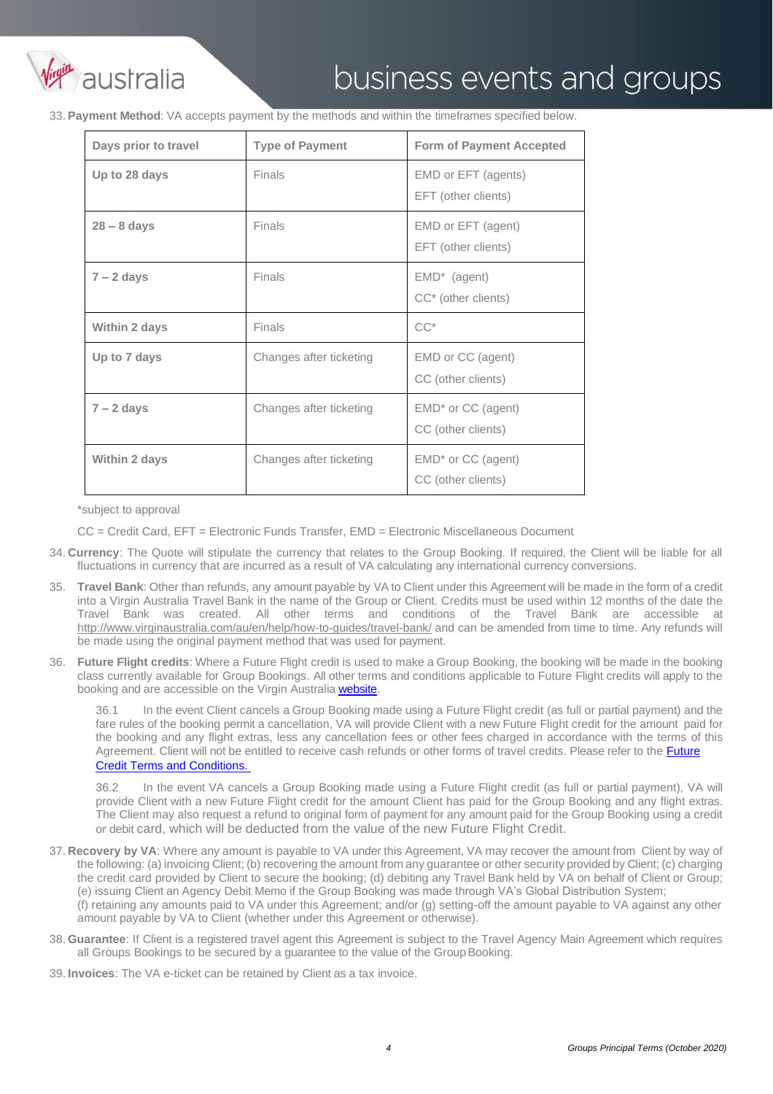

33. **Payment Method**: VA accepts payment by the methods and within the timeframes specified below.

| Days prior to travel | <b>Type of Payment</b>  | <b>Form of Payment Accepted</b>                             |
|----------------------|-------------------------|-------------------------------------------------------------|
| Up to 28 days        | <b>Finals</b>           | EMD or EFT (agents)<br>EFT (other clients)                  |
| $28 - 8$ days        | Finals                  | EMD or EFT (agent)<br>EFT (other clients)                   |
| $7 - 2$ days         | Finals                  | EMD <sup>*</sup> (agent)<br>CC <sup>*</sup> (other clients) |
| Within 2 days        | Finals                  | $CC^*$                                                      |
| Up to 7 days         | Changes after ticketing | EMD or CC (agent)<br>CC (other clients)                     |
| $7 - 2$ days         | Changes after ticketing | EMD <sup>*</sup> or CC (agent)<br>CC (other clients)        |
| Within 2 days        | Changes after ticketing | EMD <sup>*</sup> or CC (agent)<br>CC (other clients)        |

\*subject to approval

CC = Credit Card, EFT = Electronic Funds Transfer, EMD = Electronic Miscellaneous Document

- 34. **Currency**: The Quote will stipulate the currency that relates to the Group Booking. If required, the Client will be liable for all fluctuations in currency that are incurred as a result of VA calculating any international currency conversions.
- 35. **Travel Bank**: Other than refunds, any amount payable by VA to Client under this Agreement will be made in the form of a credit into a Virgin Australia Travel Bank in the name of the Group or Client. Credits must be used within 12 months of the date the Travel Bank was created. All other terms and conditions of the Travel Bank are accessible [at](http://www.virginaustralia.com/au/en/help/how-to-guides/travel-bank/) <http://www.virginaustralia.com/au/en/help/how-to-guides/travel-bank/> and can be amended from time to time. Any refunds will be made using the original payment method that was used for payment.
- 36. **Future Flight credits**: Where a Future Flight credit is used to make a Group Booking, the booking will be made in the booking class currently available for Group Bookings. All other terms and conditions applicable to Future Flight credits will apply to the booking and are accessible on the Virgin Australia [website.](https://www.virginaustralia.com/au/en/bookings/agents-corporate-bookings/agency-hub/#future-flight-credits)

36.1 In the event Client cancels a Group Booking made using a Future Flight credit (as full or partial payment) and the fare rules of the booking permit a cancellation, VA will provide Client with a new Future Flight credit for the amount paid for the booking and any flight extras, less any cancellation fees or other fees charged in accordance with the terms of this Agreement. Client will not be entitled to receive cash refunds or other forms of travel credits. Please refer to the [Future](https://www.virginaustralia.com/au/en/bookings/agents-corporate-bookings/agency-hub/#future-flight-credits) [Credit Terms and Conditions.](https://www.virginaustralia.com/au/en/bookings/agents-corporate-bookings/agency-hub/#future-flight-credits) 

36.2 In the event VA cancels a Group Booking made using a Future Flight credit (as full or partial payment), VA will provide Client with a new Future Flight credit for the amount Client has paid for the Group Booking and any flight extras. The Client may also request a refund to original form of payment for any amount paid for the Group Booking using a credit or debit card, which will be deducted from the value of the new Future Flight Credit.

37. **Recovery by VA**: Where any amount is payable to VA under this Agreement, VA may recover the amount from Client by way of the following: (a) invoicing Client; (b) recovering the amount from any guarantee or other security provided by Client; (c) charging the credit card provided by Client to secure the booking; (d) debiting any Travel Bank held by VA on behalf of Client or Group; (e) issuing Client an Agency Debit Memo if the Group Booking was made through VA's Global Distribution System;

(f) retaining any amounts paid to VA under this Agreement; and/or (g) setting-off the amount payable to VA against any other amount payable by VA to Client (whether under this Agreement or otherwise).

38. **Guarantee**: If Client is a registered travel agent this Agreement is subject to the Travel Agency Main Agreement which requires all Groups Bookings to be secured by a quarantee to the value of the Group Booking.

39. **Invoices**: The VA e-ticket can be retained by Client as a tax invoice.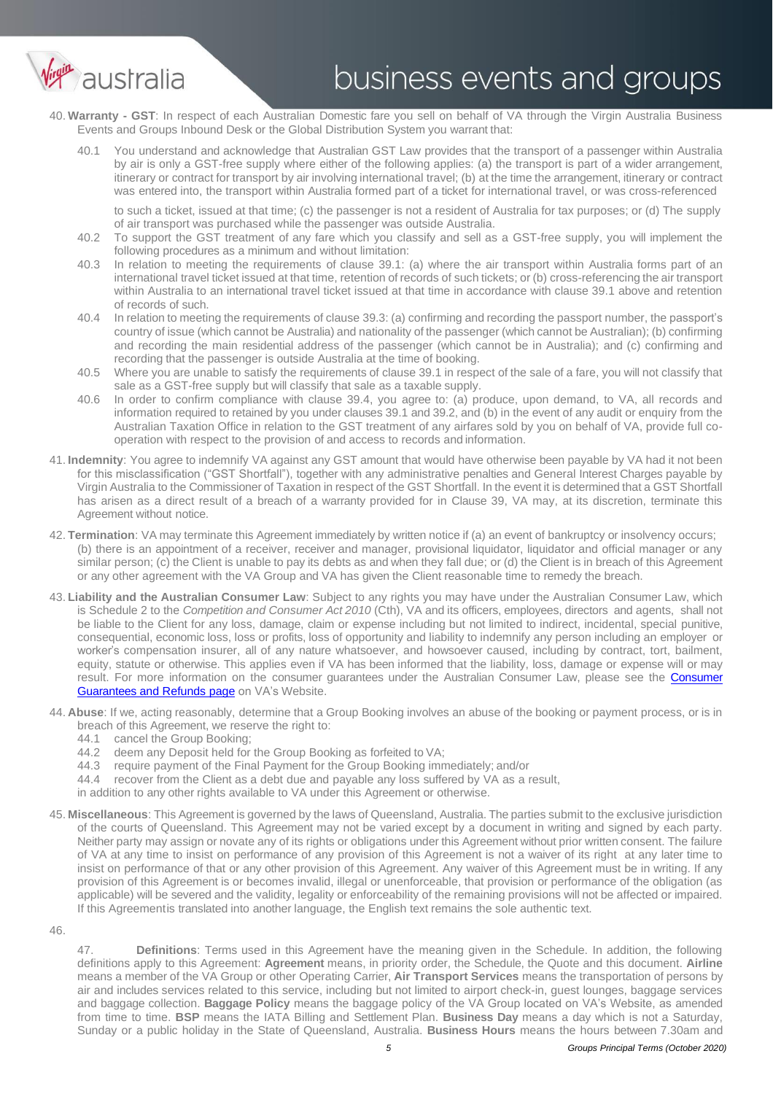

- 40. **Warranty - GST**: In respect of each Australian Domestic fare you sell on behalf of VA through the Virgin Australia Business Events and Groups Inbound Desk or the Global Distribution System you warrant that:
	- 40.1 You understand and acknowledge that Australian GST Law provides that the transport of a passenger within Australia by air is only a GST-free supply where either of the following applies: (a) the transport is part of a wider arrangement, itinerary or contract for transport by air involving international travel; (b) at the time the arrangement, itinerary or contract was entered into, the transport within Australia formed part of a ticket for international travel, or was cross-referenced

to such a ticket, issued at that time; (c) the passenger is not a resident of Australia for tax purposes; or (d) The supply of air transport was purchased while the passenger was outside Australia.

- 40.2 To support the GST treatment of any fare which you classify and sell as a GST-free supply, you will implement the following procedures as a minimum and without limitation:
- 40.3 In relation to meeting the requirements of clause 39.1: (a) where the air transport within Australia forms part of an international travel ticket issued at that time, retention of records of such tickets; or (b) cross-referencing the air transport within Australia to an international travel ticket issued at that time in accordance with clause 39.1 above and retention of records of such.
- 40.4 In relation to meeting the requirements of clause 39.3: (a) confirming and recording the passport number, the passport's country of issue (which cannot be Australia) and nationality of the passenger (which cannot be Australian); (b) confirming and recording the main residential address of the passenger (which cannot be in Australia); and (c) confirming and recording that the passenger is outside Australia at the time of booking.
- 40.5 Where you are unable to satisfy the requirements of clause 39.1 in respect of the sale of a fare, you will not classify that sale as a GST-free supply but will classify that sale as a taxable supply.
- 40.6 In order to confirm compliance with clause 39.4, you agree to: (a) produce, upon demand, to VA, all records and information required to retained by you under clauses 39.1 and 39.2, and (b) in the event of any audit or enquiry from the Australian Taxation Office in relation to the GST treatment of any airfares sold by you on behalf of VA, provide full cooperation with respect to the provision of and access to records and information.
- 41. **Indemnity**: You agree to indemnify VA against any GST amount that would have otherwise been payable by VA had it not been for this misclassification ("GST Shortfall"), together with any administrative penalties and General Interest Charges payable by Virgin Australia to the Commissioner of Taxation in respect of the GST Shortfall. In the event it is determined that a GST Shortfall has arisen as a direct result of a breach of a warranty provided for in Clause 39, VA may, at its discretion, terminate this Agreement without notice.
- 42. **Termination**: VA may terminate this Agreement immediately by written notice if (a) an event of bankruptcy or insolvency occurs; (b) there is an appointment of a receiver, receiver and manager, provisional liquidator, liquidator and official manager or any similar person; (c) the Client is unable to pay its debts as and when they fall due; or (d) the Client is in breach of this Agreement or any other agreement with the VA Group and VA has given the Client reasonable time to remedy the breach.
- 43. **Liability and the Australian Consumer Law**: Subject to any rights you may have under the Australian Consumer Law, which is Schedule 2 to the *Competition and Consumer Act 2010* (Cth), VA and its officers, employees, directors and agents, shall not be liable to the Client for any loss, damage, claim or expense including but not limited to indirect, incidental, special punitive, consequential, economic loss, loss or profits, loss of opportunity and liability to indemnify any person including an employer or worker's compensation insurer, all of any nature whatsoever, and howsoever caused, including by contract, tort, bailment, equity, statute or otherwise. This applies even if VA has been informed that the liability, loss, damage or expense will or may result. For more information on the consumer guarantees under the Australian [Consumer](https://www.virginaustralia.com/au/en/experience/service-experience/guarantees/) Law, please see the Consumer [Guarantees and Refunds page](https://www.virginaustralia.com/au/en/experience/service-experience/guarantees/) on VA's Website.
- 44. **Abuse**: If we, acting reasonably, determine that a Group Booking involves an abuse of the booking or payment process, or is in breach of this Agreement, we reserve the right to:
	- 44.1 cancel the Group Booking;<br>44.2 deem any Deposit held for
	- 44.2 deem any Deposit held for the Group Booking as forfeited to VA;<br>44.3 require payment of the Final Payment for the Group Booking imn
	- 44.3 require payment of the Final Payment for the Group Booking immediately; and/or
	- 44.4 recover from the Client as a debt due and payable any loss suffered by VA as a result,
	- in addition to any other rights available to VA under this Agreement or otherwise.
- 45. **Miscellaneous**: This Agreement is governed by the laws of Queensland, Australia. The parties submit to the exclusive jurisdiction of the courts of Queensland. This Agreement may not be varied except by a document in writing and signed by each party. Neither party may assign or novate any of its rights or obligations under this Agreement without prior written consent. The failure of VA at any time to insist on performance of any provision of this Agreement is not a waiver of its right at any later time to insist on performance of that or any other provision of this Agreement. Any waiver of this Agreement must be in writing. If any provision of this Agreement is or becomes invalid, illegal or unenforceable, that provision or performance of the obligation (as applicable) will be severed and the validity, legality or enforceability of the remaining provisions will not be affected or impaired. If this Agreementis translated into another language, the English text remains the sole authentic text.
- 46.

47. **Definitions**: Terms used in this Agreement have the meaning given in the Schedule. In addition, the following definitions apply to this Agreement: **Agreement** means, in priority order, the Schedule, the Quote and this document. **Airline**  means a member of the VA Group or other Operating Carrier, **Air Transport Services** means the transportation of persons by air and includes services related to this service, including but not limited to airport check-in, guest lounges, baggage services and baggage collection. **Baggage Policy** means the baggage policy of the VA Group located on VA's Website, as amended from time to time. **BSP** means the IATA Billing and Settlement Plan. **Business Day** means a day which is not a Saturday, Sunday or a public holiday in the State of Queensland, Australia. **Business Hours** means the hours between 7.30am and